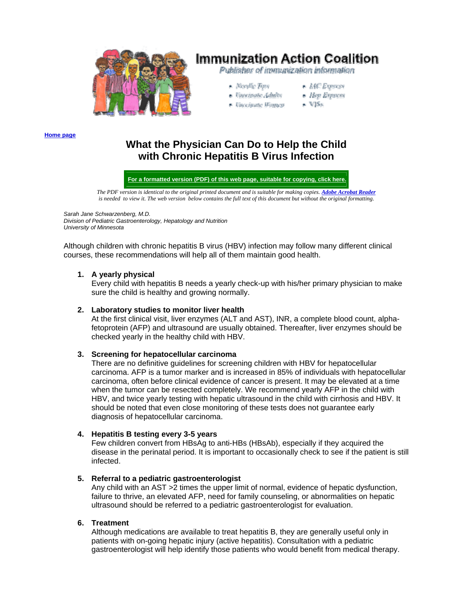

# **Immunization Action Coalition**

Publisher of immunization information

- \* Nisylle Fore
- \* MC Expires
- e Capeinale Adults · Vinceigate Monum
- \* Hep Expires
	-
- - $\star$  V15s

**[Home page](http://www.immunize.org/index.htm)**

# **What the Physician Can Do to Help the Child with Chronic Hepatitis B Virus Infection**

**[For a formatted version \(PDF\) of this web page, suitable for copying, click here.](http://www.immunize.org/catg.d/p2170sjs.pdf)**

*The PDF version is identical to the original printed document and is suitable for making copies. [Adobe Acrobat Reader](http://www.immunize.org/catg.d/adob001.htm) is needed to view it. The web version below contains the full text of this document but without the original formatting.* 

*Sarah Jane Schwarzenberg, M.D. Division of Pediatric Gastroenterology, Hepatology and Nutrition University of Minnesota*

Although children with chronic hepatitis B virus (HBV) infection may follow many different clinical courses, these recommendations will help all of them maintain good health.

# **1. A yearly physical**

Every child with hepatitis B needs a yearly check-up with his/her primary physician to make sure the child is healthy and growing normally.

#### **2. Laboratory studies to monitor liver health**

At the first clinical visit, liver enzymes (ALT and AST), INR, a complete blood count, alphafetoprotein (AFP) and ultrasound are usually obtained. Thereafter, liver enzymes should be checked yearly in the healthy child with HBV.

#### **3. Screening for hepatocellular carcinoma**

There are no definitive guidelines for screening children with HBV for hepatocellular carcinoma. AFP is a tumor marker and is increased in 85% of individuals with hepatocellular carcinoma, often before clinical evidence of cancer is present. It may be elevated at a time when the tumor can be resected completely. We recommend yearly AFP in the child with HBV, and twice yearly testing with hepatic ultrasound in the child with cirrhosis and HBV. It should be noted that even close monitoring of these tests does not guarantee early diagnosis of hepatocellular carcinoma.

#### **4. Hepatitis B testing every 3-5 years**

Few children convert from HBsAg to anti-HBs (HBsAb), especially if they acquired the disease in the perinatal period. It is important to occasionally check to see if the patient is still infected.

#### **5. Referral to a pediatric gastroenterologist**

Any child with an AST  $>2$  times the upper limit of normal, evidence of hepatic dysfunction, failure to thrive, an elevated AFP, need for family counseling, or abnormalities on hepatic ultrasound should be referred to a pediatric gastroenterologist for evaluation.

#### **6. Treatment**

Although medications are available to treat hepatitis B, they are generally useful only in patients with on-going hepatic injury (active hepatitis). Consultation with a pediatric gastroenterologist will help identify those patients who would benefit from medical therapy.